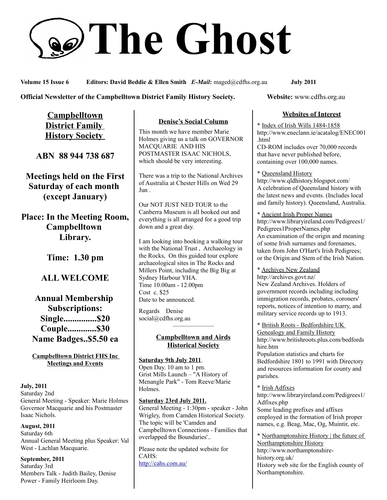# **The Ghost**

**Volume 15 Issue 6 Editors: David Beddie & Ellen Smith** *E-Mail***:** maged@cdfhs.org.au **July 2011**

**Official Newsletter of the Campbelltown District Family History Society. Website: www.cdfhs.org.au** 

**Campbelltown District Family History Society** 

**ABN 88 944 738 687**

**Meetings held on the First Saturday of each month (except January)**

**Place: In the Meeting Room, Campbelltown Library.**

**Time: 1.30 pm**

## **ALL WELCOME**

**Annual Membership Subscriptions: Single...............\$20 Couple.............\$30 Name Badges..\$5.50 ea**

**Campbelltown District FHS Inc Meetings and Events**

#### **July, 2011** Saturday 2nd General Meeting - Speaker: Marie Holmes Governor Macquarie and his Postmaster Isaac Nichols.

**August, 2011** Saturday 6th Annual General Meeting plus Speaker: Val West - Lachlan Macquarie.

**September, 2011** Saturday 3rd Members Talk - Judith Bailey, Denise Power - Family Heirloom Day.

#### **Denise's Social Column**

This month we have member Marie Holmes giving us a talk on GOVERNOR MACQUARIE AND HIS POSTMASTER ISAAC NICHOLS, which should be very interesting.

There was a trip to the National Archives of Australia at Chester Hills on Wed 29 Jun .

Our NOT JUST NED TOUR to the Canberra Museum is all booked out and everything is all arranged for a good trip down and a great day.

I am looking into booking a walking tour with the National Trust , Archaeology in the Rocks, On this guided tour explore archaeological sites in The Rocks and Millers Point, including the Big Big at Sydney Harbour YHA. Time 10.00am - 12.00pm Cost c. \$25 Date to be announced.

Regards Denise social@cdfhs.org.au

#### **Campbelltown and Airds Historical Society**

——————–

**Saturday 9th July 2011**. Open Day. 10 am to 1 pm. Grist Mills Launch – "A History of Menangle Park" - Tom Reeve/Marie Holmes.

**Saturday 23rd July 2011.** General Meeting - 1:30pm - speaker - John Wrigley, from Camden Historical Society. The topic will be 'Camden and Campbelltown Connections - Families that overlapped the Boundaries'..

Please note the updated website for CAHS: <http://cahs.com.au/>

#### **Websites of Interest**

\* Index of Irish Wills 1484-1858 http://www.eneclann.ie/acatalog/ENEC001 .html CD-ROM includes over 70,000 records that have never published before, containing over 100,000 names.

\* Queensland History http://www.qldhistory.blogspot.com/ A celebration of Queensland history with the latest news and events. (Includes local and family history). Queensland, Australia.

\* Ancient Irish Proper Names http://www.libraryireland.com/Pedigrees1/ Pedigrees1ProperNames.php An examination of the origin and meaning of some Irish surnames and forenames, taken from John O'Hart's Irish Pedigrees; or the Origin and Stem of the Irish Nation.

\* Archives New Zealand http://archives.govt.nz/ New Zealand Archives. Holders of government records including including immigration records, probates, coroners' reports, notices of intention to marry, and military service records up to 1913.

\* British Roots - Bedfordshire UK Genealogy and Family History http://www.britishroots.plus.com/bedfords hire.htm Population statistics and charts for

Bedfordshire 1801 to 1991 with Directory and resources information for county and parishes.

\* Irish Adfixes

http://www.libraryireland.com/Pedigrees1/ Adfixes.php Some leading prefixes and affixes employed in the formation of Irish proper names, e.g. Beag, Mac, Og, Muintir, etc.

\* Northamptonshire History | the future of Northamptonshire History http://www.northamptonshirehistory.org.uk/ History web site for the English county of Northamptonshire.